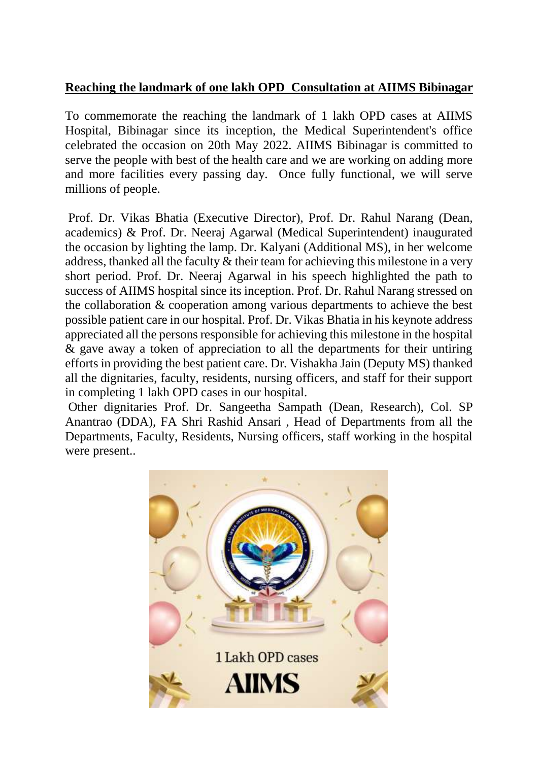## **Reaching the landmark of one lakh OPD Consultation at AIIMS Bibinagar**

To commemorate the reaching the landmark of 1 lakh OPD cases at AIIMS Hospital, Bibinagar since its inception, the Medical Superintendent's office celebrated the occasion on 20th May 2022. AIIMS Bibinagar is committed to serve the people with best of the health care and we are working on adding more and more facilities every passing day. Once fully functional, we will serve millions of people.

Prof. Dr. Vikas Bhatia (Executive Director), Prof. Dr. Rahul Narang (Dean, academics) & Prof. Dr. Neeraj Agarwal (Medical Superintendent) inaugurated the occasion by lighting the lamp. Dr. Kalyani (Additional MS), in her welcome address, thanked all the faculty & their team for achieving this milestone in a very short period. Prof. Dr. Neeraj Agarwal in his speech highlighted the path to success of AIIMS hospital since its inception. Prof. Dr. Rahul Narang stressed on the collaboration & cooperation among various departments to achieve the best possible patient care in our hospital. Prof. Dr. Vikas Bhatia in his keynote address appreciated all the persons responsible for achieving this milestone in the hospital & gave away a token of appreciation to all the departments for their untiring efforts in providing the best patient care. Dr. Vishakha Jain (Deputy MS) thanked all the dignitaries, faculty, residents, nursing officers, and staff for their support in completing 1 lakh OPD cases in our hospital.

Other dignitaries Prof. Dr. Sangeetha Sampath (Dean, Research), Col. SP Anantrao (DDA), FA Shri Rashid Ansari , Head of Departments from all the Departments, Faculty, Residents, Nursing officers, staff working in the hospital were present..

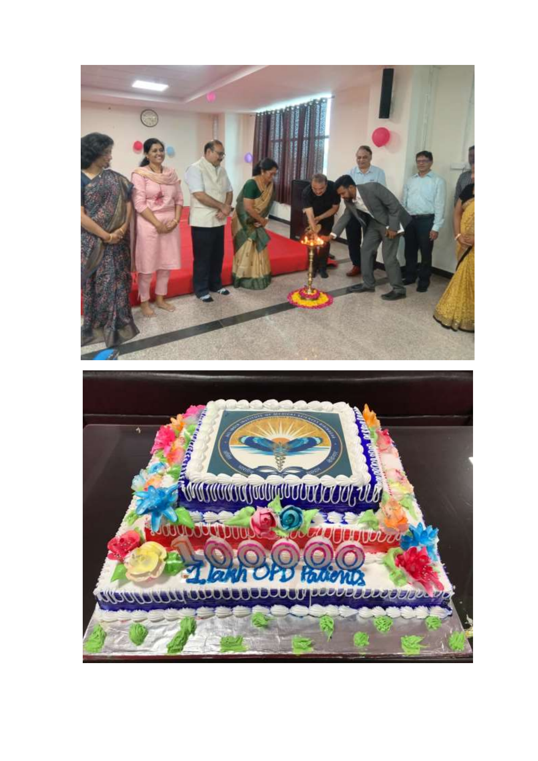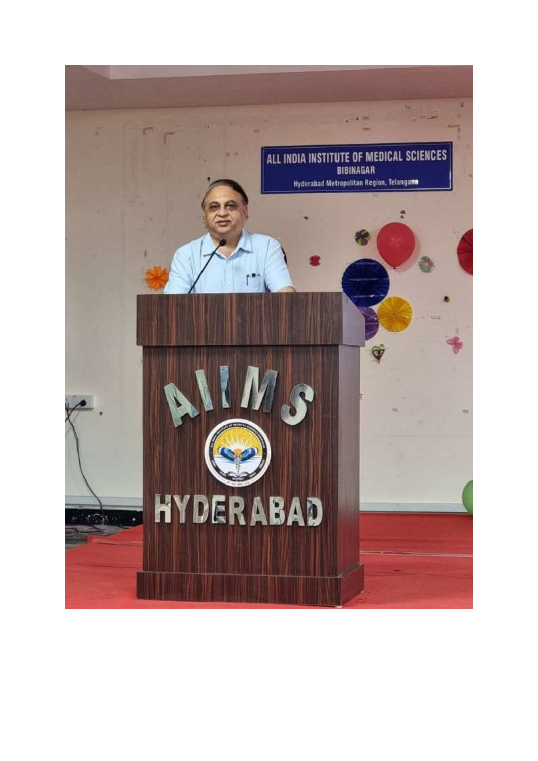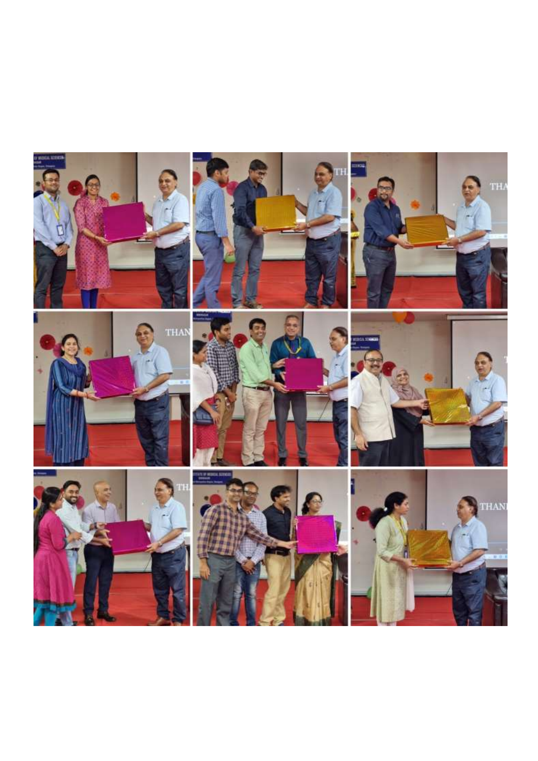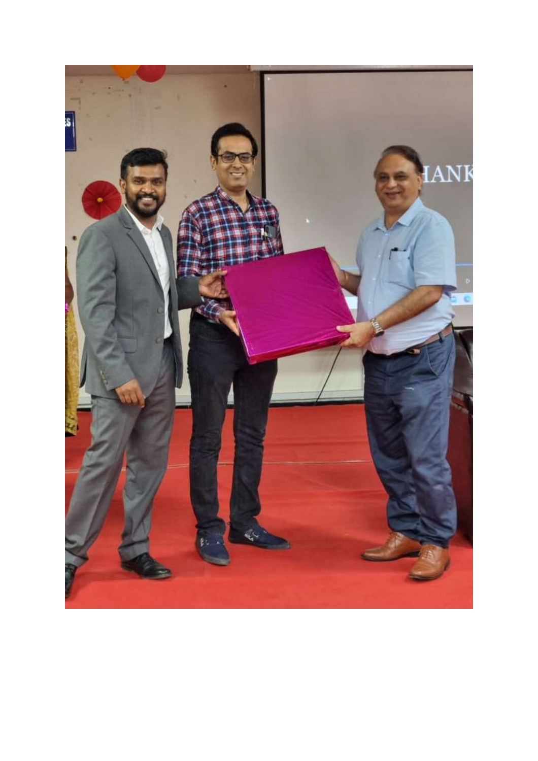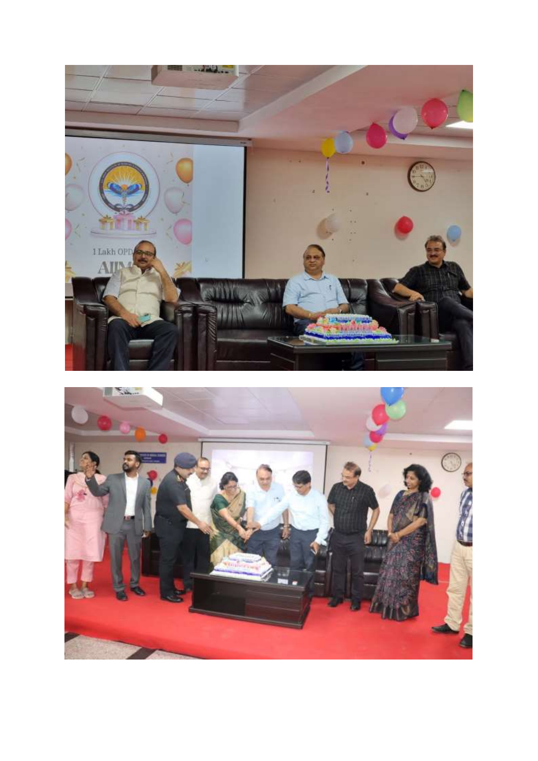